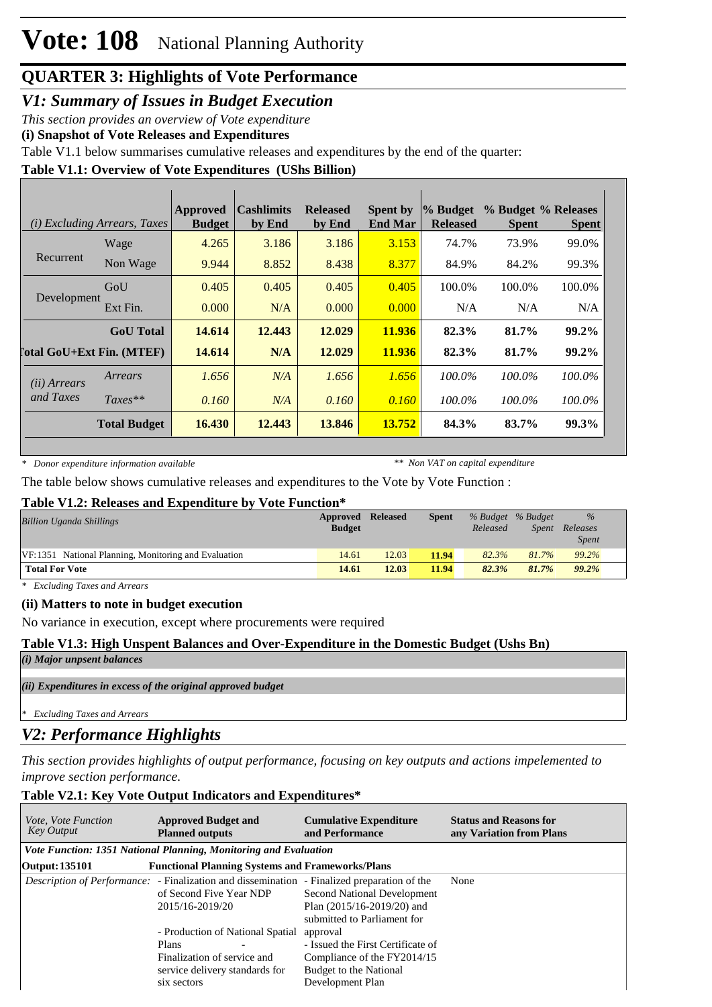# **Vote: 108** National Planning Authority

## **QUARTER 3: Highlights of Vote Performance**

*V1: Summary of Issues in Budget Execution*

*This section provides an overview of Vote expenditure* 

**(i) Snapshot of Vote Releases and Expenditures**

Table V1.1 below summarises cumulative releases and expenditures by the end of the quarter:

#### **Table V1.1: Overview of Vote Expenditures (UShs Billion)**

|                                  | ( <i>i</i> ) Excluding Arrears, Taxes | <b>Approved</b><br><b>Budget</b> | <b>Cashlimits</b><br>by End | <b>Released</b><br>by End | <b>Spent by</b><br><b>End Mar</b> | % Budget<br><b>Released</b> | % Budget % Releases<br><b>Spent</b> | <b>Spent</b> |
|----------------------------------|---------------------------------------|----------------------------------|-----------------------------|---------------------------|-----------------------------------|-----------------------------|-------------------------------------|--------------|
|                                  | Wage                                  | 4.265                            | 3.186                       | 3.186                     | 3.153                             | 74.7%                       | 73.9%                               | 99.0%        |
| Recurrent                        | Non Wage                              | 9.944                            | 8.852                       | 8.438                     | 8.377                             | 84.9%                       | 84.2%                               | 99.3%        |
| Development                      | GoU                                   | 0.405                            | 0.405                       | 0.405                     | 0.405                             | 100.0%                      | 100.0%                              | 100.0%       |
|                                  | Ext Fin.                              | 0.000                            | N/A                         | 0.000                     | 0.000                             | N/A                         | N/A                                 | N/A          |
|                                  | <b>GoU</b> Total                      | 14.614                           | 12.443                      | 12.029                    | 11.936                            | 82.3%                       | 81.7%                               | 99.2%        |
| <b>Total GoU+Ext Fin. (MTEF)</b> |                                       | 14.614                           | N/A                         | 12.029                    | 11.936                            | 82.3%                       | 81.7%                               | 99.2%        |
| (ii) Arrears                     | Arrears                               | 1.656                            | N/A                         | 1.656                     | 1.656                             | 100.0%                      | 100.0%                              | 100.0%       |
| and Taxes                        | $Taxes**$                             | 0.160                            | N/A                         | 0.160                     | 0.160                             | 100.0%                      | 100.0%                              | 100.0%       |
|                                  | <b>Total Budget</b>                   | 16.430                           | 12.443                      | 13.846                    | 13.752                            | 84.3%                       | 83.7%                               | 99.3%        |

*\* Donor expenditure information available*

*\*\* Non VAT on capital expenditure*

The table below shows cumulative releases and expenditures to the Vote by Vote Function :

#### **Table V1.2: Releases and Expenditure by Vote Function\***

| <b>Billion Uganda Shillings</b>                      | Approved<br><b>Budget</b> | <b>Released</b> | <b>Spent</b> | Released | % Budget % Budget<br>Spent | $\%$<br>Releases<br><i>Spent</i> |
|------------------------------------------------------|---------------------------|-----------------|--------------|----------|----------------------------|----------------------------------|
| VF:1351 National Planning, Monitoring and Evaluation | 14.61                     | 12.03           | 11.94        | 82.3%    | 81.7%                      | 99.2%                            |
| <b>Total For Vote</b>                                | 14.61                     | 12.03           | 11.94        | 82.3%    | 81.7%                      | 99.2%                            |

*\* Excluding Taxes and Arrears*

#### **(ii) Matters to note in budget execution**

No variance in execution, except where procurements were required

#### **Table V1.3: High Unspent Balances and Over-Expenditure in the Domestic Budget (Ushs Bn)**

*(i) Major unpsent balances*

*(ii) Expenditures in excess of the original approved budget*

*\* Excluding Taxes and Arrears*

### *V2: Performance Highlights*

*This section provides highlights of output performance, focusing on key outputs and actions impelemented to improve section performance.*

#### **Table V2.1: Key Vote Output Indicators and Expenditures\***

| <i>Vote, Vote Function</i><br><b>Key Output</b> | <b>Approved Budget and</b><br><b>Planned outputs</b>                                                                                             | <b>Cumulative Expenditure</b><br>and Performance                                                                           | <b>Status and Reasons for</b><br>any Variation from Plans |  |  |
|-------------------------------------------------|--------------------------------------------------------------------------------------------------------------------------------------------------|----------------------------------------------------------------------------------------------------------------------------|-----------------------------------------------------------|--|--|
|                                                 | Vote Function: 1351 National Planning, Monitoring and Evaluation                                                                                 |                                                                                                                            |                                                           |  |  |
| Output: 135101                                  | <b>Functional Planning Systems and Frameworks/Plans</b>                                                                                          |                                                                                                                            |                                                           |  |  |
|                                                 | <i>Description of Performance:</i> - Finalization and dissemination - Finalized preparation of the<br>of Second Five Year NDP<br>2015/16-2019/20 | <b>Second National Development</b><br>Plan $(2015/16-2019/20)$ and<br>submitted to Parliament for                          | None                                                      |  |  |
|                                                 | - Production of National Spatial<br>Plans<br>Finalization of service and<br>service delivery standards for<br>six sectors                        | approval<br>- Issued the First Certificate of<br>Compliance of the FY2014/15<br>Budget to the National<br>Development Plan |                                                           |  |  |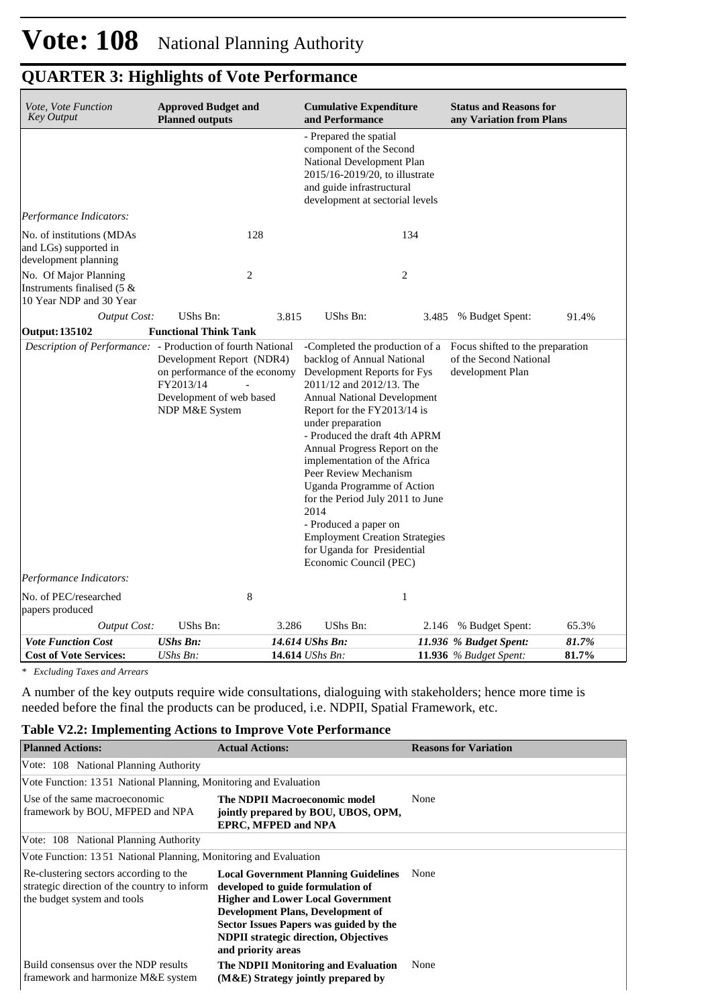| <b>Approved Budget and</b><br><i>Vote, Vote Function</i><br><b>Key Output</b><br><b>Planned outputs</b>                                                                              |                              |                                                                                                                                                                                                                                                                                                                                                                                                                                                                                                                        | <b>Cumulative Expenditure</b><br>and Performance |                                                                                                               | <b>Status and Reasons for</b><br>any Variation from Plans |       |  |
|--------------------------------------------------------------------------------------------------------------------------------------------------------------------------------------|------------------------------|------------------------------------------------------------------------------------------------------------------------------------------------------------------------------------------------------------------------------------------------------------------------------------------------------------------------------------------------------------------------------------------------------------------------------------------------------------------------------------------------------------------------|--------------------------------------------------|---------------------------------------------------------------------------------------------------------------|-----------------------------------------------------------|-------|--|
|                                                                                                                                                                                      |                              | - Prepared the spatial<br>component of the Second<br>National Development Plan<br>2015/16-2019/20, to illustrate<br>and guide infrastructural<br>development at sectorial levels                                                                                                                                                                                                                                                                                                                                       |                                                  |                                                                                                               |                                                           |       |  |
| Performance Indicators:                                                                                                                                                              |                              |                                                                                                                                                                                                                                                                                                                                                                                                                                                                                                                        |                                                  |                                                                                                               |                                                           |       |  |
| No. of institutions (MDAs<br>and LGs) supported in<br>development planning                                                                                                           | 128                          |                                                                                                                                                                                                                                                                                                                                                                                                                                                                                                                        | 134                                              |                                                                                                               |                                                           |       |  |
| No. Of Major Planning<br>Instruments finalised $(5 \&$<br>10 Year NDP and 30 Year                                                                                                    | $\mathfrak{2}$               |                                                                                                                                                                                                                                                                                                                                                                                                                                                                                                                        | $\overline{c}$                                   |                                                                                                               |                                                           |       |  |
| <b>Output Cost:</b>                                                                                                                                                                  | UShs Bn:                     | 3.815                                                                                                                                                                                                                                                                                                                                                                                                                                                                                                                  | UShs Bn:                                         | 3.485                                                                                                         | % Budget Spent:                                           | 91.4% |  |
| <b>Output: 135102</b>                                                                                                                                                                | <b>Functional Think Tank</b> |                                                                                                                                                                                                                                                                                                                                                                                                                                                                                                                        |                                                  |                                                                                                               |                                                           |       |  |
| Description of Performance: - Production of fourth National<br>Development Report (NDR4)<br>on performance of the economy<br>FY2013/14<br>Development of web based<br>NDP M&E System |                              | backlog of Annual National<br>Development Reports for Fys<br>2011/12 and 2012/13. The<br><b>Annual National Development</b><br>Report for the FY2013/14 is<br>under preparation<br>- Produced the draft 4th APRM<br>Annual Progress Report on the<br>implementation of the Africa<br>Peer Review Mechanism<br><b>Uganda Programme of Action</b><br>for the Period July 2011 to June<br>2014<br>- Produced a paper on<br><b>Employment Creation Strategies</b><br>for Uganda for Presidential<br>Economic Council (PEC) |                                                  | -Completed the production of a Focus shifted to the preparation<br>of the Second National<br>development Plan |                                                           |       |  |
| Performance Indicators:                                                                                                                                                              |                              |                                                                                                                                                                                                                                                                                                                                                                                                                                                                                                                        |                                                  |                                                                                                               |                                                           |       |  |
| No. of PEC/researched<br>papers produced                                                                                                                                             | $\,8\,$                      |                                                                                                                                                                                                                                                                                                                                                                                                                                                                                                                        | $\mathbf{1}$                                     |                                                                                                               |                                                           |       |  |
| <b>Output Cost:</b>                                                                                                                                                                  | UShs Bn:                     | 3.286                                                                                                                                                                                                                                                                                                                                                                                                                                                                                                                  | UShs Bn:                                         | 2.146                                                                                                         | % Budget Spent:                                           | 65.3% |  |
| <b>Vote Function Cost</b>                                                                                                                                                            | <b>UShs Bn:</b>              |                                                                                                                                                                                                                                                                                                                                                                                                                                                                                                                        | 14.614 UShs Bn:                                  |                                                                                                               | 11.936 % Budget Spent:                                    | 81.7% |  |
| <b>Cost of Vote Services:</b>                                                                                                                                                        | UShs Bn:                     |                                                                                                                                                                                                                                                                                                                                                                                                                                                                                                                        | 14.614 <i>UShs Bn</i> :                          |                                                                                                               | <b>11.936</b> % Budget Spent:                             | 81.7% |  |

# **QUARTER 3: Highlights of Vote Performance**

*\* Excluding Taxes and Arrears*

A number of the key outputs require wide consultations, dialoguing with stakeholders; hence more time is needed before the final the products can be produced, i.e. NDPII, Spatial Framework, etc.

#### **Table V2.2: Implementing Actions to Improve Vote Performance**

| <b>Planned Actions:</b>                                                                                               | <b>Actual Actions:</b>                                                                                                                                                                                                                                                                   | <b>Reasons for Variation</b> |
|-----------------------------------------------------------------------------------------------------------------------|------------------------------------------------------------------------------------------------------------------------------------------------------------------------------------------------------------------------------------------------------------------------------------------|------------------------------|
| Vote: 108 National Planning Authority                                                                                 |                                                                                                                                                                                                                                                                                          |                              |
| Vote Function: 1351 National Planning, Monitoring and Evaluation                                                      |                                                                                                                                                                                                                                                                                          |                              |
| Use of the same macroeconomic<br>framework by BOU, MFPED and NPA                                                      | The NDPII Macroeconomic model<br>jointly prepared by BOU, UBOS, OPM,<br><b>EPRC, MFPED and NPA</b>                                                                                                                                                                                       | None                         |
| Vote: 108 National Planning Authority                                                                                 |                                                                                                                                                                                                                                                                                          |                              |
| Vote Function: 1351 National Planning, Monitoring and Evaluation                                                      |                                                                                                                                                                                                                                                                                          |                              |
| Re-clustering sectors according to the<br>strategic direction of the country to inform<br>the budget system and tools | <b>Local Government Planning Guidelines</b><br>developed to guide formulation of<br><b>Higher and Lower Local Government</b><br><b>Development Plans, Development of</b><br>Sector Issues Papers was guided by the<br><b>NDPII</b> strategic direction, Objectives<br>and priority areas | None                         |
| Build consensus over the NDP results<br>framework and harmonize M&E system                                            | The NDPII Monitoring and Evaluation<br>(M&E) Strategy jointly prepared by                                                                                                                                                                                                                | None                         |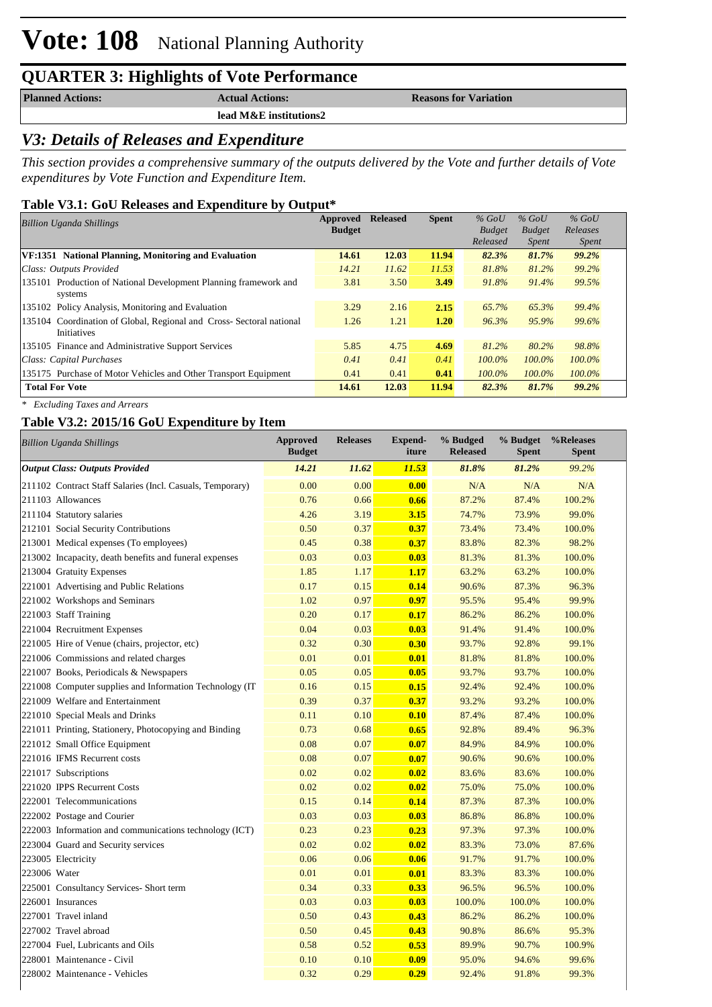# **Vote: 108** National Planning Authority

## **QUARTER 3: Highlights of Vote Performance**

**lead M&E institutions2**

**Planned Actions: Actual Actions: Reasons for Variation** 

### *V3: Details of Releases and Expenditure*

*This section provides a comprehensive summary of the outputs delivered by the Vote and further details of Vote expenditures by Vote Function and Expenditure Item.*

#### **Table V3.1: GoU Releases and Expenditure by Output\***

| <b>Billion Uganda Shillings</b>                                     | Approved      | <b>Released</b> | <b>Spent</b> | $%$ GoU       | $%$ GoU       | $%$ GoU      |  |
|---------------------------------------------------------------------|---------------|-----------------|--------------|---------------|---------------|--------------|--|
|                                                                     | <b>Budget</b> |                 |              | <b>Budget</b> | <b>Budget</b> | Releases     |  |
|                                                                     |               |                 |              | Released      | <i>Spent</i>  | <i>Spent</i> |  |
| VF:1351 National Planning, Monitoring and Evaluation                | 14.61         | 12.03           | 11.94        | 82.3%         | 81.7%         | 99.2%        |  |
| Class: Outputs Provided                                             | 14.21         | 11.62           | 11.53        | 81.8%         | 81.2%         | 99.2%        |  |
| 135101 Production of National Development Planning framework and    | 3.81          | 3.50            | 3.49         | 91.8%         | 91.4%         | 99.5%        |  |
| systems                                                             |               |                 |              |               |               |              |  |
| 135102 Policy Analysis, Monitoring and Evaluation                   | 3.29          | 2.16            | 2.15         | 65.7%         | 65.3%         | 99.4%        |  |
| 135104 Coordination of Global, Regional and Cross-Sectoral national | 1.26          | 1.21            | 1.20         | 96.3%         | 95.9%         | 99.6%        |  |
| <b>Initiatives</b>                                                  |               |                 |              |               |               |              |  |
| 135105 Finance and Administrative Support Services                  | 5.85          | 4.75            | 4.69         | 81.2%         | 80.2%         | 98.8%        |  |
| Class: Capital Purchases                                            | 0.41          | 0.41            | 0.41         | 100.0%        | 100.0%        | 100.0%       |  |
| 135175 Purchase of Motor Vehicles and Other Transport Equipment     | 0.41          | 0.41            | 0.41         | 100.0%        | 100.0%        | $100.0\%$    |  |
| <b>Total For Vote</b>                                               | 14.61         | 12.03           | 11.94        | 82.3%         | 81.7%         | 99.2%        |  |
|                                                                     |               |                 |              |               |               |              |  |

*\* Excluding Taxes and Arrears*

#### **Table V3.2: 2015/16 GoU Expenditure by Item**

| <b>Billion Uganda Shillings</b>                           | Approved<br><b>Budget</b> | <b>Releases</b> | <b>Expend-</b><br>iture | % Budged<br><b>Released</b> | % Budget<br><b>Spent</b> | %Releases<br><b>Spent</b> |
|-----------------------------------------------------------|---------------------------|-----------------|-------------------------|-----------------------------|--------------------------|---------------------------|
| <b>Output Class: Outputs Provided</b>                     | 14.21                     | 11.62           | <b>11.53</b>            | 81.8%                       | 81.2%                    | 99.2%                     |
| 211102 Contract Staff Salaries (Incl. Casuals, Temporary) | 0.00                      | 0.00            | 0.00                    | N/A                         | N/A                      | N/A                       |
| 211103 Allowances                                         | 0.76                      | 0.66            | 0.66                    | 87.2%                       | 87.4%                    | 100.2%                    |
| 211104 Statutory salaries                                 | 4.26                      | 3.19            | 3.15                    | 74.7%                       | 73.9%                    | 99.0%                     |
| 212101 Social Security Contributions                      | 0.50                      | 0.37            | 0.37                    | 73.4%                       | 73.4%                    | 100.0%                    |
| 213001 Medical expenses (To employees)                    | 0.45                      | 0.38            | 0.37                    | 83.8%                       | 82.3%                    | 98.2%                     |
| 213002 Incapacity, death benefits and funeral expenses    | 0.03                      | 0.03            | 0.03                    | 81.3%                       | 81.3%                    | 100.0%                    |
| 213004 Gratuity Expenses                                  | 1.85                      | 1.17            | 1.17                    | 63.2%                       | 63.2%                    | 100.0%                    |
| 221001 Advertising and Public Relations                   | 0.17                      | 0.15            | 0.14                    | 90.6%                       | 87.3%                    | 96.3%                     |
| 221002 Workshops and Seminars                             | 1.02                      | 0.97            | 0.97                    | 95.5%                       | 95.4%                    | 99.9%                     |
| 221003 Staff Training                                     | 0.20                      | 0.17            | 0.17                    | 86.2%                       | 86.2%                    | 100.0%                    |
| 221004 Recruitment Expenses                               | 0.04                      | 0.03            | 0.03                    | 91.4%                       | 91.4%                    | 100.0%                    |
| 221005 Hire of Venue (chairs, projector, etc)             | 0.32                      | 0.30            | 0.30                    | 93.7%                       | 92.8%                    | 99.1%                     |
| 221006 Commissions and related charges                    | 0.01                      | 0.01            | 0.01                    | 81.8%                       | 81.8%                    | 100.0%                    |
| 221007 Books, Periodicals & Newspapers                    | 0.05                      | 0.05            | 0.05                    | 93.7%                       | 93.7%                    | 100.0%                    |
| 221008 Computer supplies and Information Technology (IT)  | 0.16                      | 0.15            | 0.15                    | 92.4%                       | 92.4%                    | 100.0%                    |
| 221009 Welfare and Entertainment                          | 0.39                      | 0.37            | 0.37                    | 93.2%                       | 93.2%                    | 100.0%                    |
| 221010 Special Meals and Drinks                           | 0.11                      | 0.10            | 0.10                    | 87.4%                       | 87.4%                    | 100.0%                    |
| 221011 Printing, Stationery, Photocopying and Binding     | 0.73                      | 0.68            | 0.65                    | 92.8%                       | 89.4%                    | 96.3%                     |
| 221012 Small Office Equipment                             | 0.08                      | 0.07            | 0.07                    | 84.9%                       | 84.9%                    | 100.0%                    |
| 221016 IFMS Recurrent costs                               | 0.08                      | 0.07            | 0.07                    | 90.6%                       | 90.6%                    | 100.0%                    |
| 221017 Subscriptions                                      | 0.02                      | 0.02            | 0.02                    | 83.6%                       | 83.6%                    | 100.0%                    |
| 221020 IPPS Recurrent Costs                               | 0.02                      | 0.02            | 0.02                    | 75.0%                       | 75.0%                    | 100.0%                    |
| 222001 Telecommunications                                 | 0.15                      | 0.14            | 0.14                    | 87.3%                       | 87.3%                    | 100.0%                    |
| 222002 Postage and Courier                                | 0.03                      | 0.03            | 0.03                    | 86.8%                       | 86.8%                    | 100.0%                    |
| 222003 Information and communications technology (ICT)    | 0.23                      | 0.23            | 0.23                    | 97.3%                       | 97.3%                    | 100.0%                    |
| 223004 Guard and Security services                        | 0.02                      | 0.02            | 0.02                    | 83.3%                       | 73.0%                    | 87.6%                     |
| 223005 Electricity                                        | 0.06                      | 0.06            | 0.06                    | 91.7%                       | 91.7%                    | 100.0%                    |
| 223006 Water                                              | 0.01                      | 0.01            | 0.01                    | 83.3%                       | 83.3%                    | 100.0%                    |
| 225001 Consultancy Services- Short term                   | 0.34                      | 0.33            | 0.33                    | 96.5%                       | 96.5%                    | 100.0%                    |
| 226001 Insurances                                         | 0.03                      | 0.03            | 0.03                    | 100.0%                      | 100.0%                   | 100.0%                    |
| 227001 Travel inland                                      | 0.50                      | 0.43            | 0.43                    | 86.2%                       | 86.2%                    | 100.0%                    |
| 227002 Travel abroad                                      | 0.50                      | 0.45            | 0.43                    | 90.8%                       | 86.6%                    | 95.3%                     |
| 227004 Fuel, Lubricants and Oils                          | 0.58                      | 0.52            | 0.53                    | 89.9%                       | 90.7%                    | 100.9%                    |
| 228001 Maintenance - Civil                                | 0.10                      | 0.10            | 0.09                    | 95.0%                       | 94.6%                    | 99.6%                     |
| 228002 Maintenance - Vehicles                             | 0.32                      | 0.29            | 0.29                    | 92.4%                       | 91.8%                    | 99.3%                     |